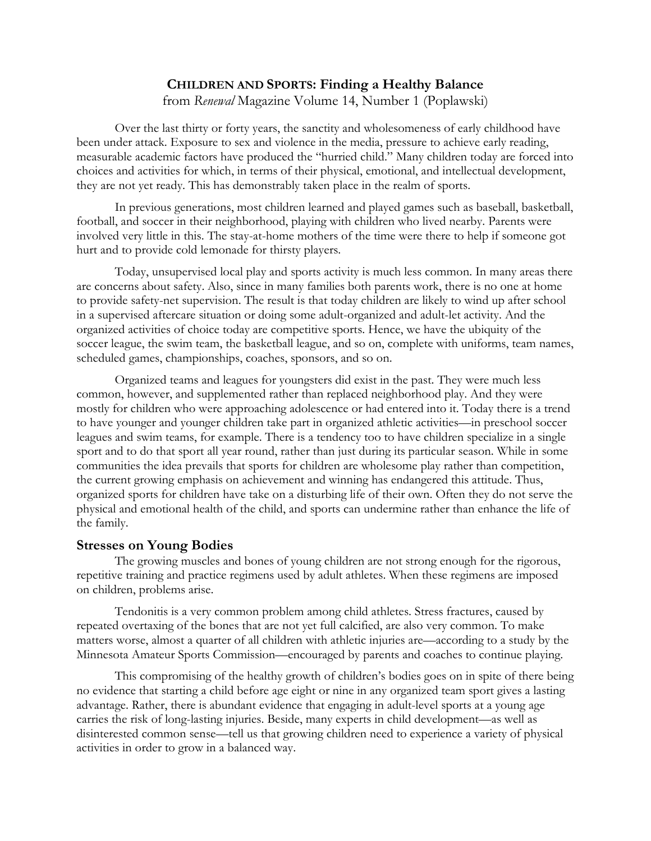# **CHILDREN AND SPORTS: Finding a Healthy Balance**

from *Renewal* Magazine Volume 14, Number 1 (Poplawski)

Over the last thirty or forty years, the sanctity and wholesomeness of early childhood have been under attack. Exposure to sex and violence in the media, pressure to achieve early reading, measurable academic factors have produced the "hurried child." Many children today are forced into choices and activities for which, in terms of their physical, emotional, and intellectual development, they are not yet ready. This has demonstrably taken place in the realm of sports.

In previous generations, most children learned and played games such as baseball, basketball, football, and soccer in their neighborhood, playing with children who lived nearby. Parents were involved very little in this. The stay-at-home mothers of the time were there to help if someone got hurt and to provide cold lemonade for thirsty players.

Today, unsupervised local play and sports activity is much less common. In many areas there are concerns about safety. Also, since in many families both parents work, there is no one at home to provide safety-net supervision. The result is that today children are likely to wind up after school in a supervised aftercare situation or doing some adult-organized and adult-let activity. And the organized activities of choice today are competitive sports. Hence, we have the ubiquity of the soccer league, the swim team, the basketball league, and so on, complete with uniforms, team names, scheduled games, championships, coaches, sponsors, and so on.

Organized teams and leagues for youngsters did exist in the past. They were much less common, however, and supplemented rather than replaced neighborhood play. And they were mostly for children who were approaching adolescence or had entered into it. Today there is a trend to have younger and younger children take part in organized athletic activities—in preschool soccer leagues and swim teams, for example. There is a tendency too to have children specialize in a single sport and to do that sport all year round, rather than just during its particular season. While in some communities the idea prevails that sports for children are wholesome play rather than competition, the current growing emphasis on achievement and winning has endangered this attitude. Thus, organized sports for children have take on a disturbing life of their own. Often they do not serve the physical and emotional health of the child, and sports can undermine rather than enhance the life of the family.

## **Stresses on Young Bodies**

The growing muscles and bones of young children are not strong enough for the rigorous, repetitive training and practice regimens used by adult athletes. When these regimens are imposed on children, problems arise.

Tendonitis is a very common problem among child athletes. Stress fractures, caused by repeated overtaxing of the bones that are not yet full calcified, are also very common. To make matters worse, almost a quarter of all children with athletic injuries are—according to a study by the Minnesota Amateur Sports Commission—encouraged by parents and coaches to continue playing.

This compromising of the healthy growth of children's bodies goes on in spite of there being no evidence that starting a child before age eight or nine in any organized team sport gives a lasting advantage. Rather, there is abundant evidence that engaging in adult-level sports at a young age carries the risk of long-lasting injuries. Beside, many experts in child development—as well as disinterested common sense—tell us that growing children need to experience a variety of physical activities in order to grow in a balanced way.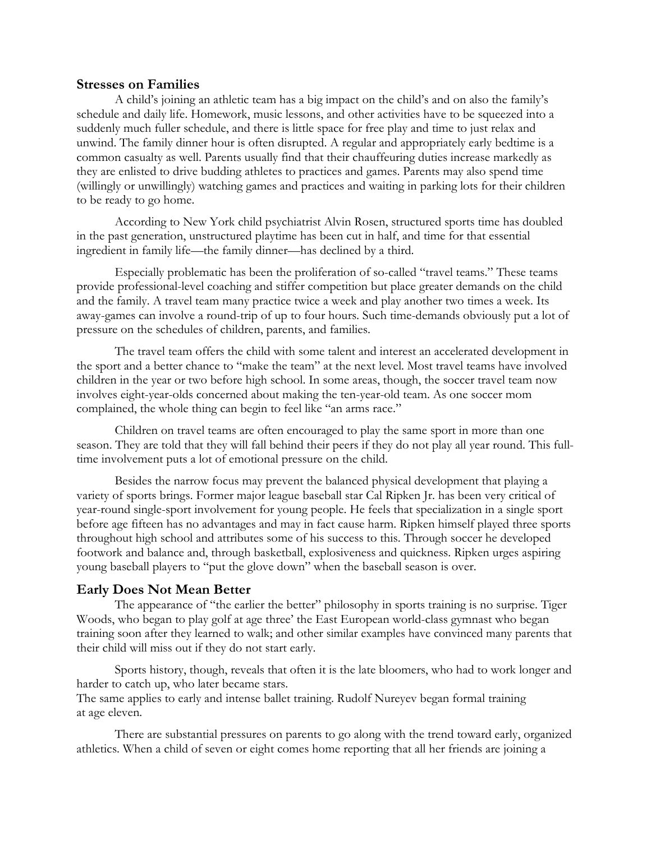#### **Stresses on Families**

A child's joining an athletic team has a big impact on the child's and on also the family's schedule and daily life. Homework, music lessons, and other activities have to be squeezed into a suddenly much fuller schedule, and there is little space for free play and time to just relax and unwind. The family dinner hour is often disrupted. A regular and appropriately early bedtime is a common casualty as well. Parents usually find that their chauffeuring duties increase markedly as they are enlisted to drive budding athletes to practices and games. Parents may also spend time (willingly or unwillingly) watching games and practices and waiting in parking lots for their children to be ready to go home.

According to New York child psychiatrist Alvin Rosen, structured sports time has doubled in the past generation, unstructured playtime has been cut in half, and time for that essential ingredient in family life—the family dinner—has declined by a third.

Especially problematic has been the proliferation of so-called "travel teams." These teams provide professional-level coaching and stiffer competition but place greater demands on the child and the family. A travel team many practice twice a week and play another two times a week. Its away-games can involve a round-trip of up to four hours. Such time-demands obviously put a lot of pressure on the schedules of children, parents, and families.

The travel team offers the child with some talent and interest an accelerated development in the sport and a better chance to "make the team" at the next level. Most travel teams have involved children in the year or two before high school. In some areas, though, the soccer travel team now involves eight-year-olds concerned about making the ten-year-old team. As one soccer mom complained, the whole thing can begin to feel like "an arms race."

Children on travel teams are often encouraged to play the same sport in more than one season. They are told that they will fall behind their peers if they do not play all year round. This fulltime involvement puts a lot of emotional pressure on the child.

Besides the narrow focus may prevent the balanced physical development that playing a variety of sports brings. Former major league baseball star Cal Ripken Jr. has been very critical of year-round single-sport involvement for young people. He feels that specialization in a single sport before age fifteen has no advantages and may in fact cause harm. Ripken himself played three sports throughout high school and attributes some of his success to this. Through soccer he developed footwork and balance and, through basketball, explosiveness and quickness. Ripken urges aspiring young baseball players to "put the glove down" when the baseball season is over.

# **Early Does Not Mean Better**

The appearance of "the earlier the better" philosophy in sports training is no surprise. Tiger Woods, who began to play golf at age three' the East European world-class gymnast who began training soon after they learned to walk; and other similar examples have convinced many parents that their child will miss out if they do not start early.

Sports history, though, reveals that often it is the late bloomers, who had to work longer and harder to catch up, who later became stars.

The same applies to early and intense ballet training. Rudolf Nureyev began formal training at age eleven.

There are substantial pressures on parents to go along with the trend toward early, organized athletics. When a child of seven or eight comes home reporting that all her friends are joining a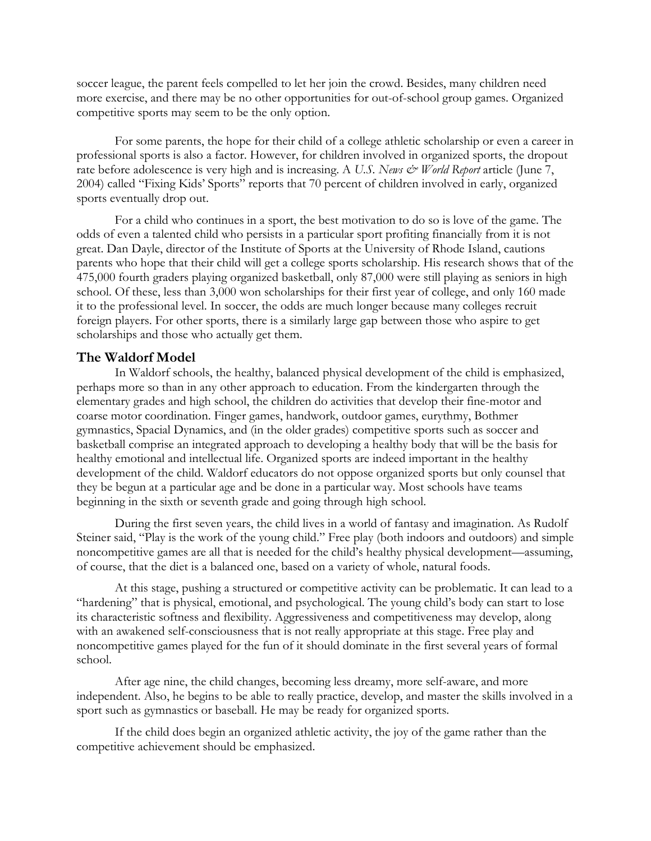soccer league, the parent feels compelled to let her join the crowd. Besides, many children need more exercise, and there may be no other opportunities for out-of-school group games. Organized competitive sports may seem to be the only option.

For some parents, the hope for their child of a college athletic scholarship or even a career in professional sports is also a factor. However, for children involved in organized sports, the dropout rate before adolescence is very high and is increasing. A *U.S. News*  $\mathcal{O}$  *World Report* article (June 7, 2004) called "Fixing Kids' Sports" reports that 70 percent of children involved in early, organized sports eventually drop out.

For a child who continues in a sport, the best motivation to do so is love of the game. The odds of even a talented child who persists in a particular sport profiting financially from it is not great. Dan Dayle, director of the Institute of Sports at the University of Rhode Island, cautions parents who hope that their child will get a college sports scholarship. His research shows that of the 475,000 fourth graders playing organized basketball, only 87,000 were still playing as seniors in high school. Of these, less than 3,000 won scholarships for their first year of college, and only 160 made it to the professional level. In soccer, the odds are much longer because many colleges recruit foreign players. For other sports, there is a similarly large gap between those who aspire to get scholarships and those who actually get them.

## **The Waldorf Model**

In Waldorf schools, the healthy, balanced physical development of the child is emphasized, perhaps more so than in any other approach to education. From the kindergarten through the elementary grades and high school, the children do activities that develop their fine-motor and coarse motor coordination. Finger games, handwork, outdoor games, eurythmy, Bothmer gymnastics, Spacial Dynamics, and (in the older grades) competitive sports such as soccer and basketball comprise an integrated approach to developing a healthy body that will be the basis for healthy emotional and intellectual life. Organized sports are indeed important in the healthy development of the child. Waldorf educators do not oppose organized sports but only counsel that they be begun at a particular age and be done in a particular way. Most schools have teams beginning in the sixth or seventh grade and going through high school.

During the first seven years, the child lives in a world of fantasy and imagination. As Rudolf Steiner said, "Play is the work of the young child." Free play (both indoors and outdoors) and simple noncompetitive games are all that is needed for the child's healthy physical development—assuming, of course, that the diet is a balanced one, based on a variety of whole, natural foods.

At this stage, pushing a structured or competitive activity can be problematic. It can lead to a "hardening" that is physical, emotional, and psychological. The young child's body can start to lose its characteristic softness and flexibility. Aggressiveness and competitiveness may develop, along with an awakened self-consciousness that is not really appropriate at this stage. Free play and noncompetitive games played for the fun of it should dominate in the first several years of formal school.

After age nine, the child changes, becoming less dreamy, more self-aware, and more independent. Also, he begins to be able to really practice, develop, and master the skills involved in a sport such as gymnastics or baseball. He may be ready for organized sports.

If the child does begin an organized athletic activity, the joy of the game rather than the competitive achievement should be emphasized.